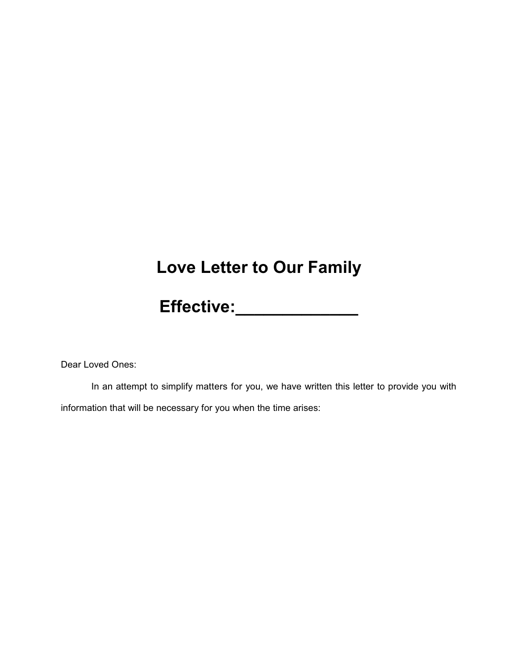### **Love Letter to Our Family**

**Effective:\_\_\_\_\_\_\_\_\_\_\_\_\_**

Dear Loved Ones:

In an attempt to simplify matters for you, we have written this letter to provide you with information that will be necessary for you when the time arises: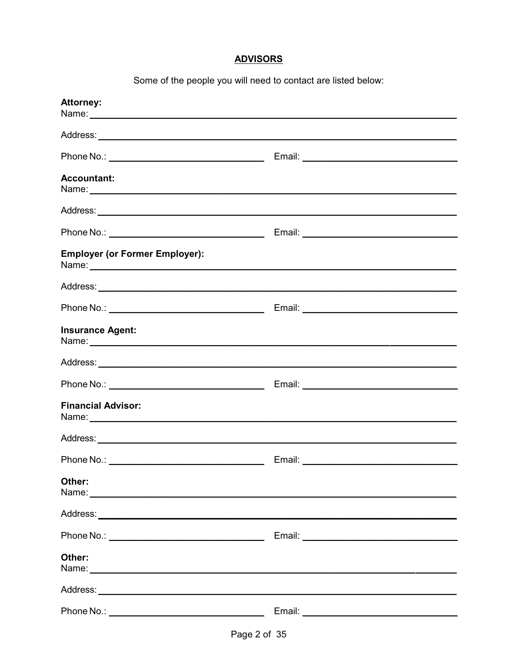#### **ADVISORS**

Some of the people you will need to contact are listed below:

| <b>Attorney:</b>                                                                                                                                                                                                                        |  |
|-----------------------------------------------------------------------------------------------------------------------------------------------------------------------------------------------------------------------------------------|--|
|                                                                                                                                                                                                                                         |  |
|                                                                                                                                                                                                                                         |  |
| <b>Accountant:</b>                                                                                                                                                                                                                      |  |
|                                                                                                                                                                                                                                         |  |
| Phone No.: ___________________________________                                                                                                                                                                                          |  |
| <b>Employer (or Former Employer):</b>                                                                                                                                                                                                   |  |
|                                                                                                                                                                                                                                         |  |
|                                                                                                                                                                                                                                         |  |
| <b>Insurance Agent:</b>                                                                                                                                                                                                                 |  |
|                                                                                                                                                                                                                                         |  |
|                                                                                                                                                                                                                                         |  |
| <b>Financial Advisor:</b>                                                                                                                                                                                                               |  |
|                                                                                                                                                                                                                                         |  |
|                                                                                                                                                                                                                                         |  |
| Other:<br>Name: Name: Name: Name: Name: Name: Name: Name: Name: Name: Name: Name: Name: Name: Name: Name: Name: Name: Name: Name: Name: Name: Name: Name: Name: Name: Name: Name: Name: Name: Name: Name: Name: Name: Name: Name: Name: |  |
|                                                                                                                                                                                                                                         |  |
|                                                                                                                                                                                                                                         |  |
| Other:                                                                                                                                                                                                                                  |  |
|                                                                                                                                                                                                                                         |  |
|                                                                                                                                                                                                                                         |  |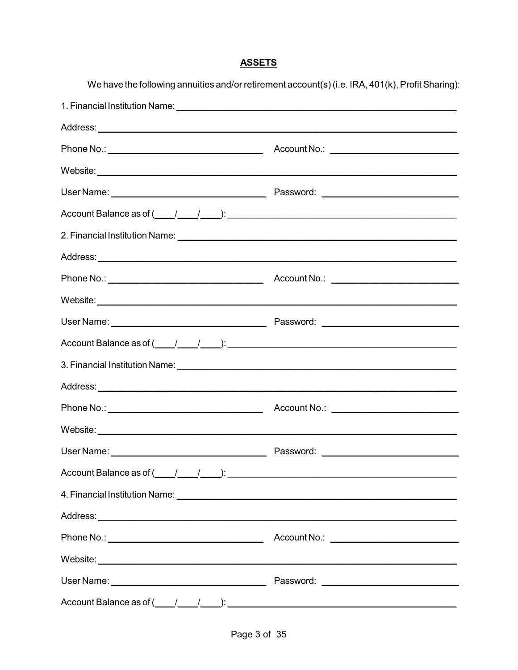#### **ASSETS**

We have the following annuities and/or retirement account(s) (i.e. IRA, 401(k), Profit Sharing):

| Account Balance as of $(\_\_\_\_\_\_\_\_\_\_\_\_\_\_\_$   |  |
|-----------------------------------------------------------|--|
|                                                           |  |
|                                                           |  |
|                                                           |  |
|                                                           |  |
|                                                           |  |
| Account Balance as of $(\_\_\_\_\_\_\_\_\_\_\$ :          |  |
|                                                           |  |
|                                                           |  |
|                                                           |  |
|                                                           |  |
|                                                           |  |
|                                                           |  |
|                                                           |  |
|                                                           |  |
|                                                           |  |
|                                                           |  |
|                                                           |  |
| Account Balance as of $(\_\_\_\_\_\_\_\_\_\_\_\_\_\_\_\_$ |  |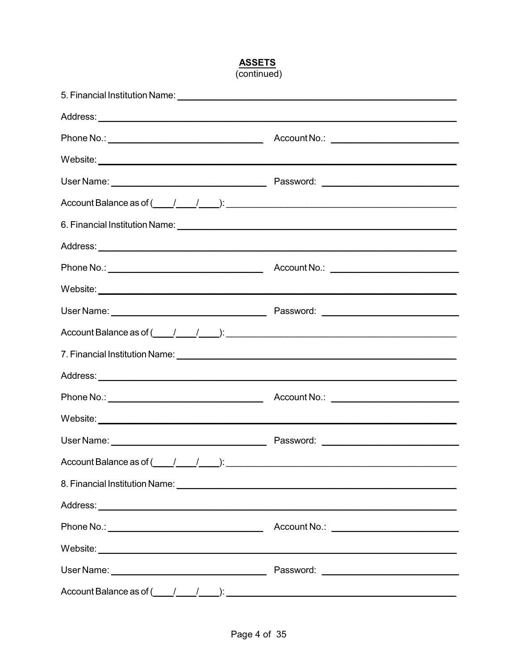#### **ASSETS**  $(continued)$

|                                                                                                                                                                                                                                                                                                                                                                                                                                                                                                                                                                                                                           | Account No.: <u>________________________________</u> |
|---------------------------------------------------------------------------------------------------------------------------------------------------------------------------------------------------------------------------------------------------------------------------------------------------------------------------------------------------------------------------------------------------------------------------------------------------------------------------------------------------------------------------------------------------------------------------------------------------------------------------|------------------------------------------------------|
|                                                                                                                                                                                                                                                                                                                                                                                                                                                                                                                                                                                                                           |                                                      |
|                                                                                                                                                                                                                                                                                                                                                                                                                                                                                                                                                                                                                           |                                                      |
| $Account Balance as of (\underline{\hspace{1cm}}\underline{\hspace{1cm}}\underline{\hspace{1cm}}\underline{\hspace{1cm}}\underline{\hspace{1cm}}\underline{\hspace{1cm}}\underline{\hspace{1cm}}\underline{\hspace{1cm}}\underline{\hspace{1cm}}\underline{\hspace{1cm}}\underline{\hspace{1cm}}\underline{\hspace{1cm}}\underline{\hspace{1cm}}\underline{\hspace{1cm}}\underline{\hspace{1cm}}\underline{\hspace{1cm}}\underline{\hspace{1cm}}\underline{\hspace{1cm}}\underline{\hspace{1cm}}\underline{\hspace{1cm}}\underline{\hspace{1cm}}\underline{\hspace{1cm}}\underline{\hspace{1cm}}\underline{\hspace{1cm}}$ |                                                      |
|                                                                                                                                                                                                                                                                                                                                                                                                                                                                                                                                                                                                                           |                                                      |
|                                                                                                                                                                                                                                                                                                                                                                                                                                                                                                                                                                                                                           |                                                      |
|                                                                                                                                                                                                                                                                                                                                                                                                                                                                                                                                                                                                                           |                                                      |
|                                                                                                                                                                                                                                                                                                                                                                                                                                                                                                                                                                                                                           |                                                      |
|                                                                                                                                                                                                                                                                                                                                                                                                                                                                                                                                                                                                                           |                                                      |
| Account Balance as of $\underline{\hspace{1cm}}$ $\underline{\hspace{1cm}}$ $\underline{\hspace{1cm}}$ $\underline{\hspace{1cm}}$ $\underline{\hspace{1cm}}$ $\underline{\hspace{1cm}}$ $\underline{\hspace{1cm}}$ $\underline{\hspace{1cm}}$ $\underline{\hspace{1cm}}$ $\underline{\hspace{1cm}}$ $\underline{\hspace{1cm}}$ $\underline{\hspace{1cm}}$ $\underline{\hspace{1cm}}$ $\underline{\hspace{1cm}}$ $\underline{\hspace{1cm}}$ $\underline$                                                                                                                                                                   |                                                      |
|                                                                                                                                                                                                                                                                                                                                                                                                                                                                                                                                                                                                                           |                                                      |
|                                                                                                                                                                                                                                                                                                                                                                                                                                                                                                                                                                                                                           |                                                      |
|                                                                                                                                                                                                                                                                                                                                                                                                                                                                                                                                                                                                                           | Account No.: _____________________________           |
| Website: <u>with the community of the community of the community of the community of the community of the community of the community of the community of the community of the community of the community of the community of the</u>                                                                                                                                                                                                                                                                                                                                                                                      |                                                      |
|                                                                                                                                                                                                                                                                                                                                                                                                                                                                                                                                                                                                                           |                                                      |
|                                                                                                                                                                                                                                                                                                                                                                                                                                                                                                                                                                                                                           |                                                      |
|                                                                                                                                                                                                                                                                                                                                                                                                                                                                                                                                                                                                                           |                                                      |
|                                                                                                                                                                                                                                                                                                                                                                                                                                                                                                                                                                                                                           |                                                      |
|                                                                                                                                                                                                                                                                                                                                                                                                                                                                                                                                                                                                                           |                                                      |
|                                                                                                                                                                                                                                                                                                                                                                                                                                                                                                                                                                                                                           |                                                      |
|                                                                                                                                                                                                                                                                                                                                                                                                                                                                                                                                                                                                                           |                                                      |
| Account Balance as of $\underline{(1,1,1)}$ : $\underline{(2,1,1)}$ :                                                                                                                                                                                                                                                                                                                                                                                                                                                                                                                                                     |                                                      |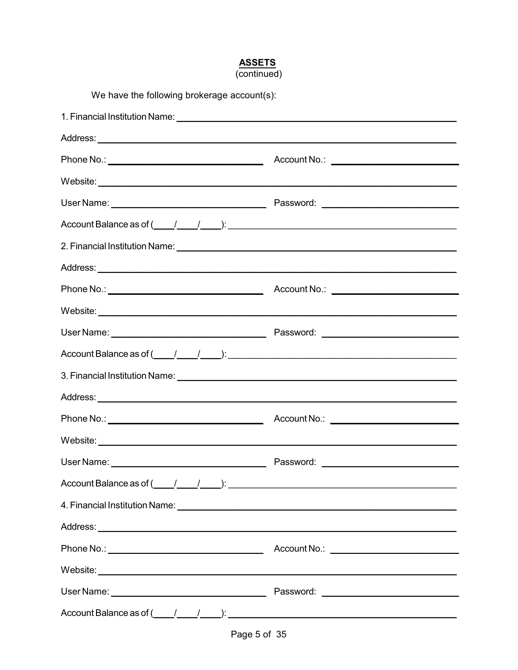#### **ASSETS**  $(continued)$

| We have the following brokerage account(s):                                                                                                                                                                                          |           |
|--------------------------------------------------------------------------------------------------------------------------------------------------------------------------------------------------------------------------------------|-----------|
|                                                                                                                                                                                                                                      |           |
|                                                                                                                                                                                                                                      |           |
|                                                                                                                                                                                                                                      |           |
|                                                                                                                                                                                                                                      |           |
|                                                                                                                                                                                                                                      |           |
| Account Balance as of $(\_\_\_\_\_\_\_\_\_\_\_\_\_\_\_\_$ .                                                                                                                                                                          |           |
|                                                                                                                                                                                                                                      |           |
|                                                                                                                                                                                                                                      |           |
|                                                                                                                                                                                                                                      |           |
| Website: <u>with the contract of the contract of the contract of the contract of the contract of the contract of the contract of the contract of the contract of the contract of the contract of the contract of the contract of</u> |           |
|                                                                                                                                                                                                                                      |           |
| Account Balance as of $(\_\_\_\_\_\_\_\_\_\_\_\_\_\_\_\_$                                                                                                                                                                            |           |
|                                                                                                                                                                                                                                      |           |
|                                                                                                                                                                                                                                      |           |
|                                                                                                                                                                                                                                      |           |
|                                                                                                                                                                                                                                      |           |
| User Name:                                                                                                                                                                                                                           | Password: |
| Account Balance as of $\underline{(1,1,1)}$ : $\underline{(1,1,1)}$ :                                                                                                                                                                |           |
| 4. Financial Institution Name: <u>Cambridge Communications of the Communication</u>                                                                                                                                                  |           |
|                                                                                                                                                                                                                                      |           |
|                                                                                                                                                                                                                                      |           |
|                                                                                                                                                                                                                                      |           |
|                                                                                                                                                                                                                                      |           |
| Account Balance as of $(\_\_\_\_\_\_\_\_\_\_\_\_\_\_\_\_\_$                                                                                                                                                                          |           |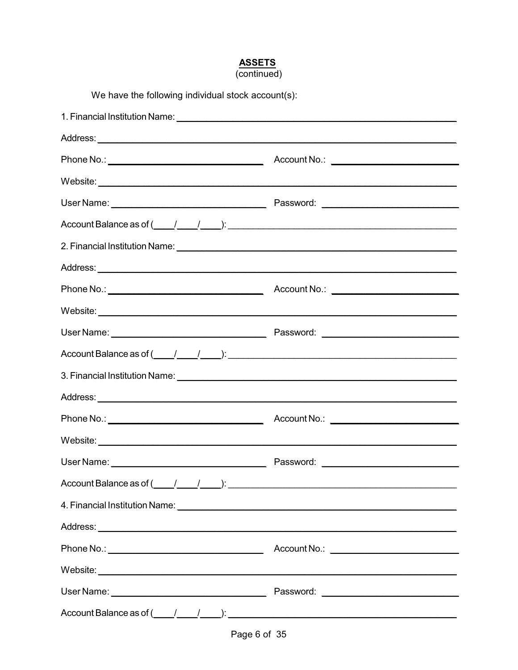### **ASSETS**<br>(continued)

| We have the following individual stock account(s):                                                                                                                                                                             |  |  |
|--------------------------------------------------------------------------------------------------------------------------------------------------------------------------------------------------------------------------------|--|--|
|                                                                                                                                                                                                                                |  |  |
|                                                                                                                                                                                                                                |  |  |
|                                                                                                                                                                                                                                |  |  |
|                                                                                                                                                                                                                                |  |  |
|                                                                                                                                                                                                                                |  |  |
| Account Balance as of $(\_\_\_\_\_\_\_\_\_\_\_\_\_\_\_$ .                                                                                                                                                                      |  |  |
| 2. Financial Institution Name: 1986 and 2008 and 2008 and 2008 and 2008 and 2008 and 2008 and 2008 and 2008 and 2008 and 2008 and 2008 and 2008 and 2008 and 2008 and 2008 and 2008 and 2008 and 2008 and 2008 and 2008 and 20 |  |  |
|                                                                                                                                                                                                                                |  |  |
|                                                                                                                                                                                                                                |  |  |
|                                                                                                                                                                                                                                |  |  |
|                                                                                                                                                                                                                                |  |  |
| Account Balance as of $\underline{(1,1,1)}$ : $\underline{(2,1,1)}$ :                                                                                                                                                          |  |  |
|                                                                                                                                                                                                                                |  |  |
|                                                                                                                                                                                                                                |  |  |
|                                                                                                                                                                                                                                |  |  |
|                                                                                                                                                                                                                                |  |  |
|                                                                                                                                                                                                                                |  |  |
| Account Balance as of $\underline{($ $\underline{}/$ $\underline{}/$ $\underline{)}$ :                                                                                                                                         |  |  |
|                                                                                                                                                                                                                                |  |  |
|                                                                                                                                                                                                                                |  |  |
|                                                                                                                                                                                                                                |  |  |
|                                                                                                                                                                                                                                |  |  |
|                                                                                                                                                                                                                                |  |  |
| Account Balance as of $\underline{($ $\underline{}/$ $\underline{}/$ $\underline{)}$ :                                                                                                                                         |  |  |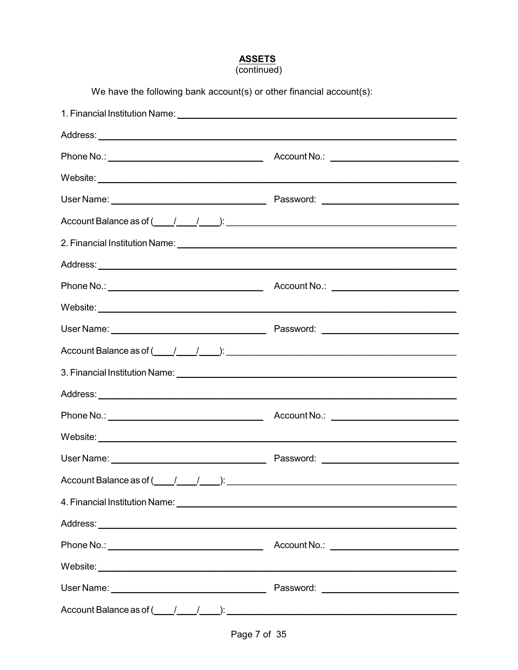### **ASSETS**<br>(continued)

We have the following bank account(s) or other financial account(s):

| Account Balance as of $(\_\_\_\_\_\_\_\_\_\_\_\_\_\_\_$ |  |
|---------------------------------------------------------|--|
|                                                         |  |
|                                                         |  |
|                                                         |  |
|                                                         |  |
|                                                         |  |
|                                                         |  |
|                                                         |  |
|                                                         |  |
|                                                         |  |
|                                                         |  |
|                                                         |  |
| $Account Balance as of ($ $/$ $/$ $)$ $)$ $)$           |  |
|                                                         |  |
|                                                         |  |
|                                                         |  |
|                                                         |  |
|                                                         |  |
| Account Balance as of $(\_\_\_\_\_\_\_\_\_\_\$          |  |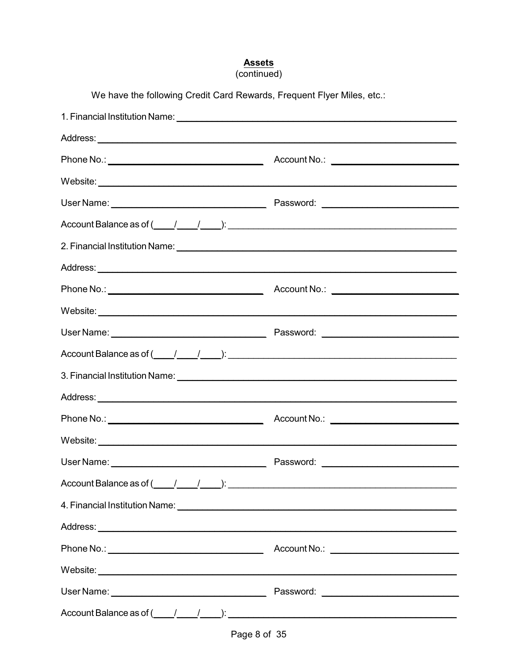# Assets<br>(continued)

| We have the following Credit Card Rewards, Frequent Flyer Miles, etc.:                                                                                                                                                              |  |  |
|-------------------------------------------------------------------------------------------------------------------------------------------------------------------------------------------------------------------------------------|--|--|
| 1. Financial Institution Name: <u>Cambridge Communications of the Communications</u> of the Communications of the Communications of the Communications of the Communications of the Communications of the Communications of the Com |  |  |
|                                                                                                                                                                                                                                     |  |  |
|                                                                                                                                                                                                                                     |  |  |
|                                                                                                                                                                                                                                     |  |  |
|                                                                                                                                                                                                                                     |  |  |
| Account Balance as of $\underline{(1,1,1)}$ : $\underline{(1,1,1)}$ : $\underline{(1,1,1)}$                                                                                                                                         |  |  |
|                                                                                                                                                                                                                                     |  |  |
|                                                                                                                                                                                                                                     |  |  |
|                                                                                                                                                                                                                                     |  |  |
|                                                                                                                                                                                                                                     |  |  |
|                                                                                                                                                                                                                                     |  |  |
|                                                                                                                                                                                                                                     |  |  |
|                                                                                                                                                                                                                                     |  |  |
|                                                                                                                                                                                                                                     |  |  |
|                                                                                                                                                                                                                                     |  |  |
|                                                                                                                                                                                                                                     |  |  |
|                                                                                                                                                                                                                                     |  |  |
| Account Balance as of $\underline{($ $\underline{}/$ $\underline{}/$ $\underline{)}$ :                                                                                                                                              |  |  |
| 4. Financial Institution Name: <u>Cambridge Communications of the Communication</u>                                                                                                                                                 |  |  |
|                                                                                                                                                                                                                                     |  |  |
|                                                                                                                                                                                                                                     |  |  |
|                                                                                                                                                                                                                                     |  |  |
|                                                                                                                                                                                                                                     |  |  |
| Account Balance as of $\underline{($ $\underline{}/$ $\underline{}/$ $\underline{)}$ :                                                                                                                                              |  |  |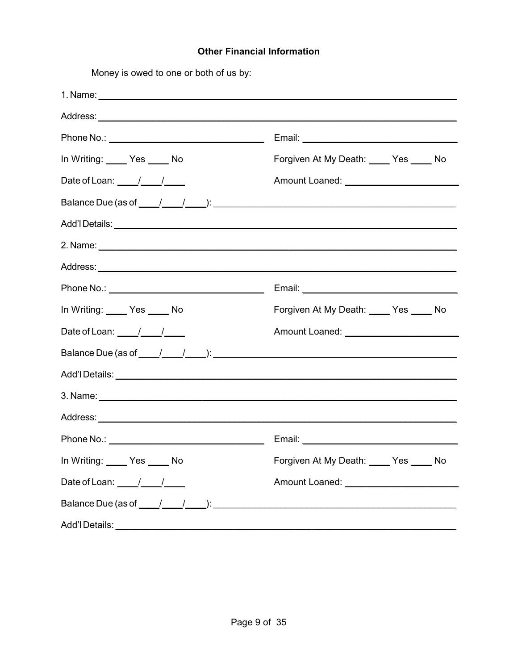#### **Other Financial Information**

Money is owed to one or both of us by:

| In Writing: Yes _____ No                                          | Forgiven At My Death: Yes _____ No                                        |
|-------------------------------------------------------------------|---------------------------------------------------------------------------|
| Date of Loan: $\frac{1}{\sqrt{1-\frac{1}{2}}}$                    |                                                                           |
|                                                                   |                                                                           |
|                                                                   |                                                                           |
|                                                                   |                                                                           |
|                                                                   |                                                                           |
|                                                                   |                                                                           |
| In Writing: Ves _____ No                                          | Forgiven At My Death: Ves ____ No                                         |
| Date of Loan: $\frac{\sqrt{1-\frac{1}{2}}}{\sqrt{1-\frac{1}{2}}}$ |                                                                           |
|                                                                   |                                                                           |
|                                                                   |                                                                           |
|                                                                   |                                                                           |
|                                                                   |                                                                           |
|                                                                   |                                                                           |
|                                                                   | In Writing: _____ Yes _____ No<br>Forgiven At My Death: ____ Yes _____ No |
| Date of Loan: $\frac{1}{\sqrt{1-\frac{1}{2}}}$                    |                                                                           |
|                                                                   |                                                                           |
| Add'l Details:                                                    |                                                                           |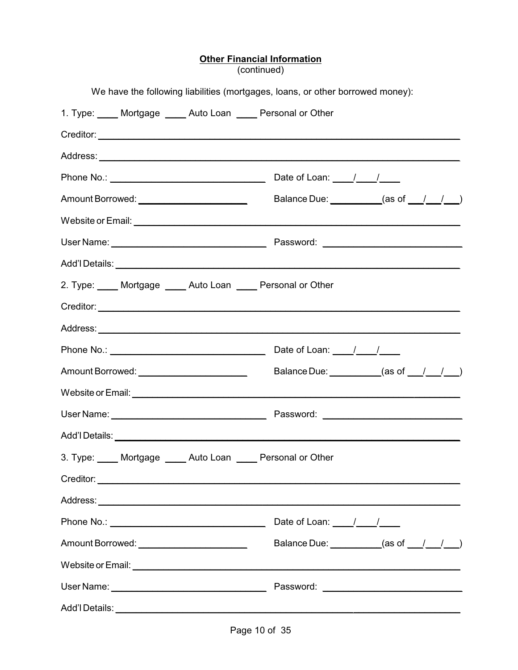### Other Financial Information<br>(continued)

|                                                                 | We have the following liabilities (mortgages, loans, or other borrowed money): |  |
|-----------------------------------------------------------------|--------------------------------------------------------------------------------|--|
| 1. Type: _____ Mortgage _____ Auto Loan _____ Personal or Other |                                                                                |  |
|                                                                 |                                                                                |  |
|                                                                 |                                                                                |  |
|                                                                 |                                                                                |  |
| Amount Borrowed: ________________________                       | Balance Due: $\qquad \qquad \qquad \text{(as of } \qquad / \qquad / \qquad )$  |  |
|                                                                 |                                                                                |  |
|                                                                 |                                                                                |  |
|                                                                 |                                                                                |  |
| 2. Type: Mortgage _____ Auto Loan _____ Personal or Other       |                                                                                |  |
|                                                                 |                                                                                |  |
|                                                                 |                                                                                |  |
| Phone No.: $\sqrt{2\pi}$ Date of Loan: $\sqrt{2\pi}$            |                                                                                |  |
|                                                                 | Balance Due: $($ as of $/$ $/$ $/$ $)$                                         |  |
|                                                                 |                                                                                |  |
|                                                                 |                                                                                |  |
|                                                                 |                                                                                |  |
| 3. Type: Mortgage Auto Loan Personal or Other                   |                                                                                |  |
|                                                                 |                                                                                |  |
|                                                                 |                                                                                |  |
|                                                                 | Date of Loan: $\frac{1}{\sqrt{1-\frac{1}{2}}}$                                 |  |
| Amount Borrowed: _________________________                      | Balance Due: $($ as of $/$ $/$ $/$ $)$                                         |  |
|                                                                 |                                                                                |  |
|                                                                 |                                                                                |  |
|                                                                 |                                                                                |  |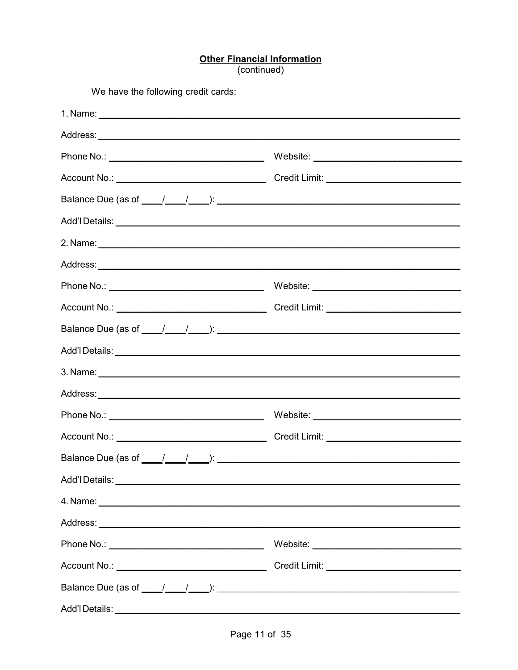# Other Financial Information<br>(continued)

| We have the following credit cards:                                                                                                                                                                                                  |  |
|--------------------------------------------------------------------------------------------------------------------------------------------------------------------------------------------------------------------------------------|--|
|                                                                                                                                                                                                                                      |  |
|                                                                                                                                                                                                                                      |  |
|                                                                                                                                                                                                                                      |  |
|                                                                                                                                                                                                                                      |  |
|                                                                                                                                                                                                                                      |  |
|                                                                                                                                                                                                                                      |  |
|                                                                                                                                                                                                                                      |  |
|                                                                                                                                                                                                                                      |  |
|                                                                                                                                                                                                                                      |  |
|                                                                                                                                                                                                                                      |  |
|                                                                                                                                                                                                                                      |  |
|                                                                                                                                                                                                                                      |  |
| 3. Name: <u>example and the contract of the contract of the contract of the contract of the contract of the contract of the contract of the contract of the contract of the contract of the contract of the contract of the cont</u> |  |
|                                                                                                                                                                                                                                      |  |
|                                                                                                                                                                                                                                      |  |
|                                                                                                                                                                                                                                      |  |
| Balance Due (as of $\frac{1}{\sqrt{1-\frac{1}{2}}}$ ):                                                                                                                                                                               |  |
|                                                                                                                                                                                                                                      |  |
|                                                                                                                                                                                                                                      |  |
|                                                                                                                                                                                                                                      |  |
|                                                                                                                                                                                                                                      |  |
|                                                                                                                                                                                                                                      |  |
|                                                                                                                                                                                                                                      |  |
| Add'l Details:                                                                                                                                                                                                                       |  |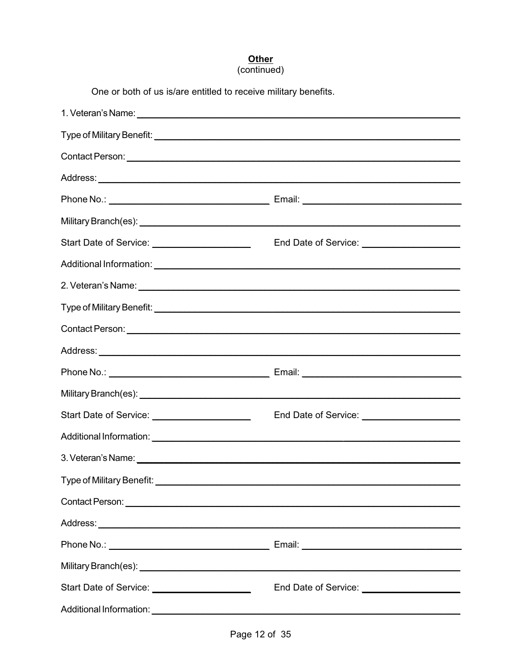# Other<br>(continued)

| One or both of us is/are entitled to receive military benefits. |                                              |
|-----------------------------------------------------------------|----------------------------------------------|
|                                                                 |                                              |
|                                                                 |                                              |
|                                                                 |                                              |
|                                                                 |                                              |
|                                                                 |                                              |
|                                                                 |                                              |
| Start Date of Service: _____________________                    | End Date of Service: _______________________ |
|                                                                 |                                              |
|                                                                 |                                              |
|                                                                 |                                              |
|                                                                 |                                              |
|                                                                 |                                              |
|                                                                 |                                              |
|                                                                 |                                              |
| Start Date of Service: ______________________                   | End Date of Service: _______________________ |
|                                                                 |                                              |
|                                                                 |                                              |
|                                                                 |                                              |
|                                                                 |                                              |
|                                                                 |                                              |
|                                                                 |                                              |
|                                                                 |                                              |
| Start Date of Service: ________________________                 | End Date of Service: _______________________ |
|                                                                 |                                              |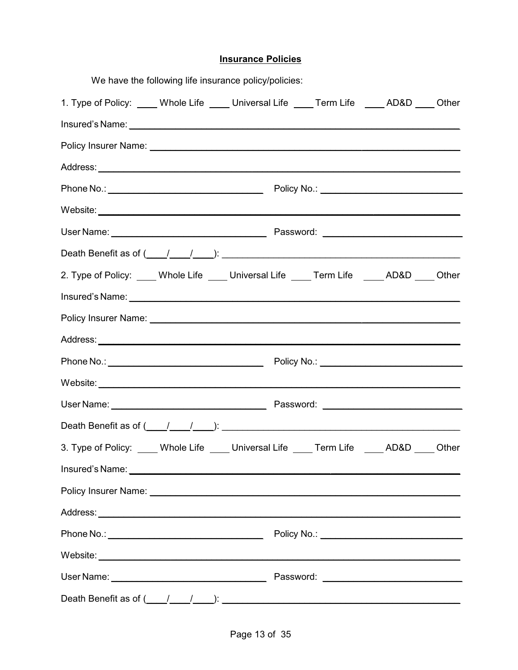|                                                                                                                                                                                                                                      | We have the following life insurance policy/policies: |  |  |       |
|--------------------------------------------------------------------------------------------------------------------------------------------------------------------------------------------------------------------------------------|-------------------------------------------------------|--|--|-------|
| 1. Type of Policy: ____ Whole Life ____ Universal Life ____ Term Life ____ AD&D ___ Other                                                                                                                                            |                                                       |  |  |       |
|                                                                                                                                                                                                                                      |                                                       |  |  |       |
|                                                                                                                                                                                                                                      |                                                       |  |  |       |
|                                                                                                                                                                                                                                      |                                                       |  |  |       |
|                                                                                                                                                                                                                                      |                                                       |  |  |       |
|                                                                                                                                                                                                                                      |                                                       |  |  |       |
|                                                                                                                                                                                                                                      |                                                       |  |  |       |
|                                                                                                                                                                                                                                      |                                                       |  |  |       |
| 2. Type of Policy: ____ Whole Life ____ Universal Life ____ Term Life _____ AD&D ____ Other                                                                                                                                          |                                                       |  |  |       |
| Insured's Name: <u>contract the contract of the contract of the contract of the contract of the contract of the contract of the contract of the contract of the contract of the contract of the contract of the contract of the </u> |                                                       |  |  |       |
|                                                                                                                                                                                                                                      |                                                       |  |  |       |
|                                                                                                                                                                                                                                      |                                                       |  |  |       |
|                                                                                                                                                                                                                                      |                                                       |  |  |       |
|                                                                                                                                                                                                                                      |                                                       |  |  |       |
|                                                                                                                                                                                                                                      |                                                       |  |  |       |
| Death Benefit as of $($ $/$ $/$ $)$ : $($ $)$ $($ $)$ $($ $)$ $($ $)$ $($ $)$ $($ $)$ $($ $)$ $($ $)$ $($ $)$ $($ $)$ $($ $)$ $($ $)$ $($ $)$ $($ $)$ $($ $)$ $($ $)$ $($ $)$ $($ $)$ $($ $)$ $($ $)$ $($ $)$ $($ $)$ $($            |                                                       |  |  |       |
| 3. Type of Policy: ____ Whole Life ____ Universal Life ____ Term Life ____ AD&D ___                                                                                                                                                  |                                                       |  |  | Other |
|                                                                                                                                                                                                                                      |                                                       |  |  |       |
|                                                                                                                                                                                                                                      |                                                       |  |  |       |
|                                                                                                                                                                                                                                      |                                                       |  |  |       |
|                                                                                                                                                                                                                                      |                                                       |  |  |       |
|                                                                                                                                                                                                                                      |                                                       |  |  |       |
|                                                                                                                                                                                                                                      |                                                       |  |  |       |
|                                                                                                                                                                                                                                      |                                                       |  |  |       |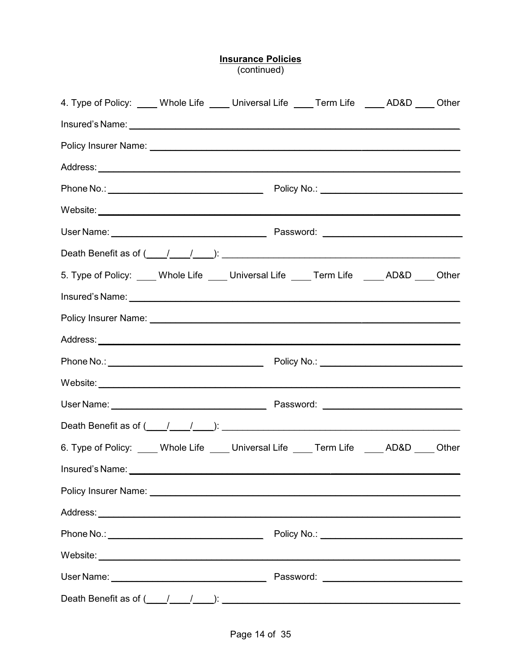### **Insurance Policies**<br>(continued)

| 4. Type of Policy: ____ Whole Life ____ Universal Life ____ Term Life ____ AD&D ____ Other                                                                                                                                           |  |  |  |
|--------------------------------------------------------------------------------------------------------------------------------------------------------------------------------------------------------------------------------------|--|--|--|
| Insured's Name: <u>contract the contract of the contract of the contract of the contract of the contract of the contract of the contract of the contract of the contract of the contract of the contract of the contract of the </u> |  |  |  |
|                                                                                                                                                                                                                                      |  |  |  |
|                                                                                                                                                                                                                                      |  |  |  |
|                                                                                                                                                                                                                                      |  |  |  |
|                                                                                                                                                                                                                                      |  |  |  |
|                                                                                                                                                                                                                                      |  |  |  |
|                                                                                                                                                                                                                                      |  |  |  |
| 5. Type of Policy: ____ Whole Life ____ Universal Life ____ Term Life ____ AD&D ____ Other                                                                                                                                           |  |  |  |
| Insured's Name: experience and a series of the series of the series of the series of the series of the series of the series of the series of the series of the series of the series of the series of the series of the series        |  |  |  |
|                                                                                                                                                                                                                                      |  |  |  |
|                                                                                                                                                                                                                                      |  |  |  |
|                                                                                                                                                                                                                                      |  |  |  |
| Website: <u>with the contract of the contract of the contract of the contract of the contract of the contract of the contract of the contract of the contract of the contract of the contract of the contract of the contract of</u> |  |  |  |
|                                                                                                                                                                                                                                      |  |  |  |
| Death Benefit as of $(\_\_/\_\_)$ : $(\_\_$                                                                                                                                                                                          |  |  |  |
| 6. Type of Policy: ____ Whole Life ____ Universal Life ____ Term Life ____ AD&D ____ Other                                                                                                                                           |  |  |  |
| Insured's Name: experience and a series of the series of the series of the series of the series of the series of the series of the series of the series of the series of the series of the series of the series of the series        |  |  |  |
|                                                                                                                                                                                                                                      |  |  |  |
|                                                                                                                                                                                                                                      |  |  |  |
|                                                                                                                                                                                                                                      |  |  |  |
|                                                                                                                                                                                                                                      |  |  |  |
|                                                                                                                                                                                                                                      |  |  |  |
| Death Benefit as of $(\_\_\_\_\_\_\_\_\_\_\_\_\_\_\_$                                                                                                                                                                                |  |  |  |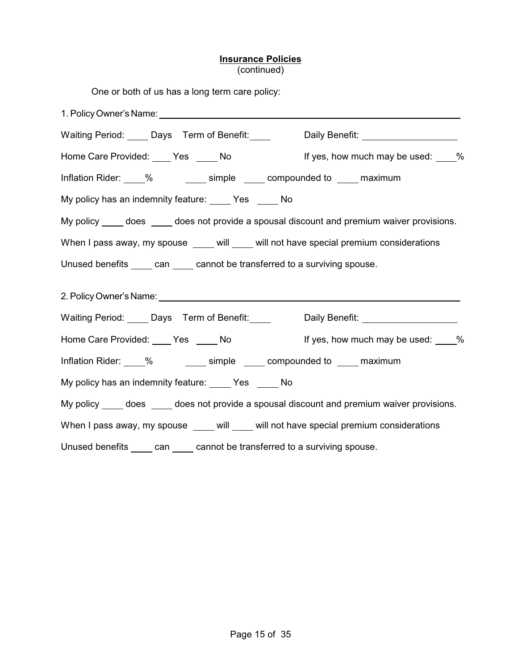#### **Insurance Policies** (continued)

| One or both of us has a long term care policy:                                                                                                                                                                                 |
|--------------------------------------------------------------------------------------------------------------------------------------------------------------------------------------------------------------------------------|
|                                                                                                                                                                                                                                |
| Waiting Period: Days Term of Benefit: Daily Benefit: Daily Benefit:                                                                                                                                                            |
| Home Care Provided: ____ Yes _____ No details are lif yes, how much may be used: ____%                                                                                                                                         |
| Inflation Rider: 1894 % Simple 2016 compounded to 10 maximum                                                                                                                                                                   |
| My policy has an indemnity feature: ____ Yes ____ No                                                                                                                                                                           |
| My policy ____ does ____ does not provide a spousal discount and premium waiver provisions.                                                                                                                                    |
| When I pass away, my spouse ____ will ____ will not have special premium considerations                                                                                                                                        |
| Unused benefits _____ can _____ cannot be transferred to a surviving spouse.                                                                                                                                                   |
| 2. Policy Owner's Name: University of the Contract of the Contract of the Contract of the Contract of the Contract of the Contract of the Contract of the Contract of the Contract of the Contract of the Contract of the Cont |
| Waiting Period: Days Term of Benefit: Daily Benefit: National Daily Benefit:                                                                                                                                                   |
| Home Care Provided: ____ Yes _____ No details are lif yes, how much may be used: ____%                                                                                                                                         |
|                                                                                                                                                                                                                                |
| My policy has an indemnity feature: Ves _____ No                                                                                                                                                                               |
| My policy _____ does _____ does not provide a spousal discount and premium waiver provisions.                                                                                                                                  |
| When I pass away, my spouse ____ will ____ will not have special premium considerations                                                                                                                                        |
| can cannot be transferred to a surviving spouse.<br>Unused benefits                                                                                                                                                            |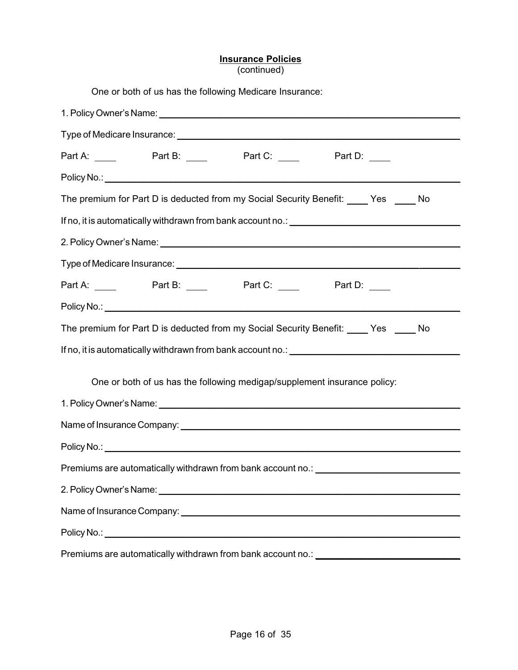### **Insurance Policies**

(continued)

| One or both of us has the following Medicare Insurance:                                                                                                                                                                        |
|--------------------------------------------------------------------------------------------------------------------------------------------------------------------------------------------------------------------------------|
|                                                                                                                                                                                                                                |
|                                                                                                                                                                                                                                |
|                                                                                                                                                                                                                                |
|                                                                                                                                                                                                                                |
| The premium for Part D is deducted from my Social Security Benefit: _____ Yes _____ No                                                                                                                                         |
|                                                                                                                                                                                                                                |
|                                                                                                                                                                                                                                |
|                                                                                                                                                                                                                                |
| Part A: ______ Part B: _____ Part C: ____ Part D: ____                                                                                                                                                                         |
|                                                                                                                                                                                                                                |
| The premium for Part D is deducted from my Social Security Benefit: _____ Yes _____ No                                                                                                                                         |
| If no, it is automatically withdrawn from bank account no.: \\esseq\\esseq\\esseq\\esseq\\esseq\\esseq\\esseq\\esseq\\esseq\\esseq\\esseq\\esseq\\esseq\\esseq\\esseq\\esseq\\esseq\\esseq\\esseq\\esseq\\esseq\\esseq\\esseq\ |
|                                                                                                                                                                                                                                |
| One or both of us has the following medigap/supplement insurance policy:                                                                                                                                                       |
| 1. Policy Owner's Name: 1. 2008 2010 2020 2021 2022 2023 2024 2022 2023 2024 2022 2023 2024 2022 2023 2024 20                                                                                                                  |
|                                                                                                                                                                                                                                |
|                                                                                                                                                                                                                                |
| Premiums are automatically withdrawn from bank account no.: _____________________                                                                                                                                              |
|                                                                                                                                                                                                                                |
|                                                                                                                                                                                                                                |
|                                                                                                                                                                                                                                |
| Premiums are automatically withdrawn from bank account no.: ____________________                                                                                                                                               |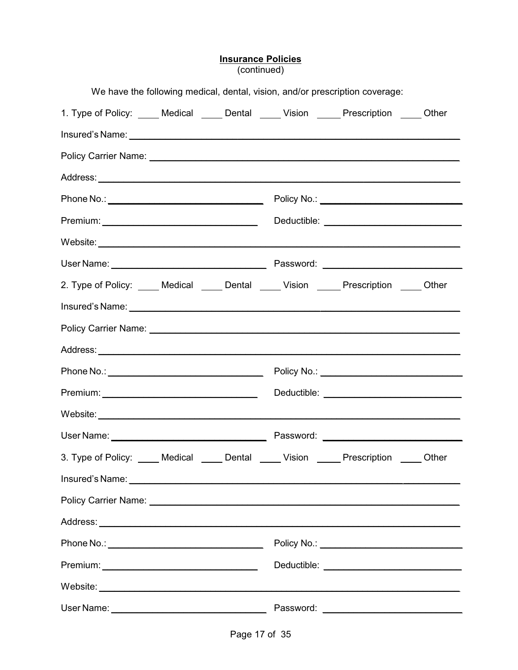### **Insurance Policies**<br>(continued)

| We have the following medical, dental, vision, and/or prescription coverage:                                                                                                                                                         |                                                |  |
|--------------------------------------------------------------------------------------------------------------------------------------------------------------------------------------------------------------------------------------|------------------------------------------------|--|
| 1. Type of Policy: _____ Medical _____ Dental _____ Vision ______ Prescription _____ Other                                                                                                                                           |                                                |  |
| Insured's Name: Name: Name: Name: Name: Name: Name: Name: Name: Name: Name: Name: Name: Name: Name: Name: Name: Name: Name: Name: Name: Name: Name: Name: Name: Name: Name: Name: Name: Name: Name: Name: Name: Name: Name: Na       |                                                |  |
|                                                                                                                                                                                                                                      |                                                |  |
|                                                                                                                                                                                                                                      |                                                |  |
|                                                                                                                                                                                                                                      |                                                |  |
|                                                                                                                                                                                                                                      |                                                |  |
|                                                                                                                                                                                                                                      |                                                |  |
|                                                                                                                                                                                                                                      |                                                |  |
| 2. Type of Policy: _____ Medical _____ Dental _____ Vision _____ Prescription _____ Other                                                                                                                                            |                                                |  |
| Insured's Name: <u>contract and a series of the series of the series of the series of the series of the series of the series of the series of the series of the series of the series of the series of the series of the series o</u> |                                                |  |
|                                                                                                                                                                                                                                      |                                                |  |
|                                                                                                                                                                                                                                      |                                                |  |
|                                                                                                                                                                                                                                      |                                                |  |
|                                                                                                                                                                                                                                      |                                                |  |
|                                                                                                                                                                                                                                      |                                                |  |
|                                                                                                                                                                                                                                      |                                                |  |
| 3. Type of Policy: _____ Medical _____ Dental _____ Vision _____ Prescription _____ Other                                                                                                                                            |                                                |  |
| Insured's Name: <u>Alexander Alexander Alexander Alexander Alexander Alexander Alexander Alexander Alexander Alex</u>                                                                                                                |                                                |  |
|                                                                                                                                                                                                                                      |                                                |  |
|                                                                                                                                                                                                                                      |                                                |  |
|                                                                                                                                                                                                                                      | Policy No.: _________________________________  |  |
|                                                                                                                                                                                                                                      | Deductible: __________________________________ |  |
| Website: where the contract of the contract of the contract of the contract of the contract of the contract of the contract of the contract of the contract of the contract of the contract of the contract of the contract of       |                                                |  |
|                                                                                                                                                                                                                                      |                                                |  |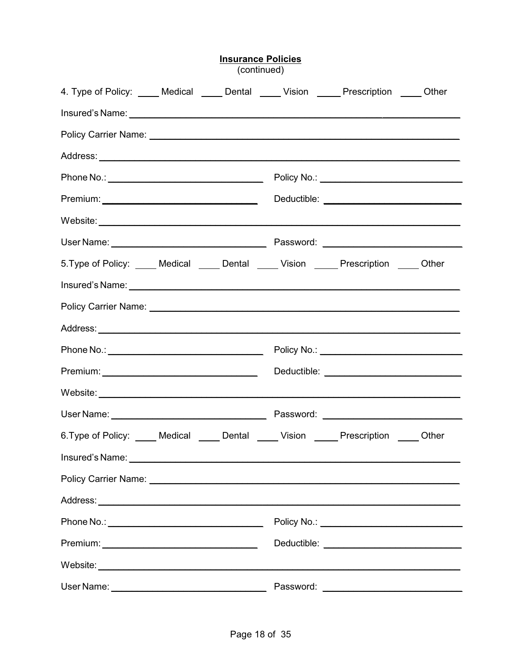| <b>Insurance Policies</b><br>(continued)                                                  |  |  |           |  |  |
|-------------------------------------------------------------------------------------------|--|--|-----------|--|--|
| 4. Type of Policy: _____ Medical _____ Dental _____ Vision _____ Prescription _____ Other |  |  |           |  |  |
|                                                                                           |  |  |           |  |  |
|                                                                                           |  |  |           |  |  |
|                                                                                           |  |  |           |  |  |
|                                                                                           |  |  |           |  |  |
|                                                                                           |  |  |           |  |  |
|                                                                                           |  |  |           |  |  |
|                                                                                           |  |  |           |  |  |
| 5. Type of Policy: _____ Medical _____ Dental _____ Vision _____ Prescription _____ Other |  |  |           |  |  |
|                                                                                           |  |  |           |  |  |
|                                                                                           |  |  |           |  |  |
|                                                                                           |  |  |           |  |  |
|                                                                                           |  |  |           |  |  |
|                                                                                           |  |  |           |  |  |
|                                                                                           |  |  |           |  |  |
|                                                                                           |  |  |           |  |  |
| 6. Type of Policy: Medical _____ Dental _____ Vision _____ Prescription _____ Other       |  |  |           |  |  |
|                                                                                           |  |  |           |  |  |
|                                                                                           |  |  |           |  |  |
|                                                                                           |  |  |           |  |  |
|                                                                                           |  |  |           |  |  |
|                                                                                           |  |  |           |  |  |
|                                                                                           |  |  |           |  |  |
| User Name:                                                                                |  |  | Password: |  |  |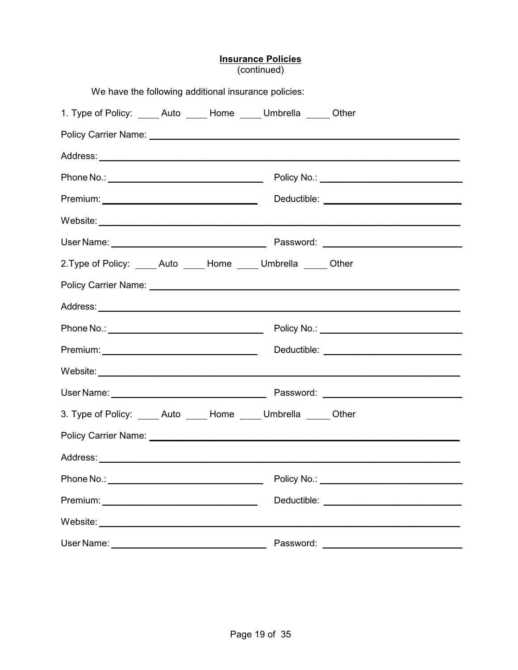| <b>Insurance Policies</b><br>(continued)                            |  |  |  |                                             |  |
|---------------------------------------------------------------------|--|--|--|---------------------------------------------|--|
| We have the following additional insurance policies:                |  |  |  |                                             |  |
| 1. Type of Policy: _____ Auto _____ Home _____ Umbrella _____ Other |  |  |  |                                             |  |
|                                                                     |  |  |  |                                             |  |
|                                                                     |  |  |  |                                             |  |
|                                                                     |  |  |  | Policy No.: _______________________________ |  |
|                                                                     |  |  |  |                                             |  |
|                                                                     |  |  |  |                                             |  |
|                                                                     |  |  |  |                                             |  |
| 2. Type of Policy: Auto Home Umbrella Other                         |  |  |  |                                             |  |
|                                                                     |  |  |  |                                             |  |
|                                                                     |  |  |  |                                             |  |
|                                                                     |  |  |  |                                             |  |
|                                                                     |  |  |  |                                             |  |
|                                                                     |  |  |  |                                             |  |
|                                                                     |  |  |  |                                             |  |
| 3. Type of Policy: _____ Auto _____ Home _____ Umbrella _____ Other |  |  |  |                                             |  |
|                                                                     |  |  |  |                                             |  |
|                                                                     |  |  |  |                                             |  |
|                                                                     |  |  |  |                                             |  |
|                                                                     |  |  |  |                                             |  |
|                                                                     |  |  |  |                                             |  |
|                                                                     |  |  |  | Password: ________________________________  |  |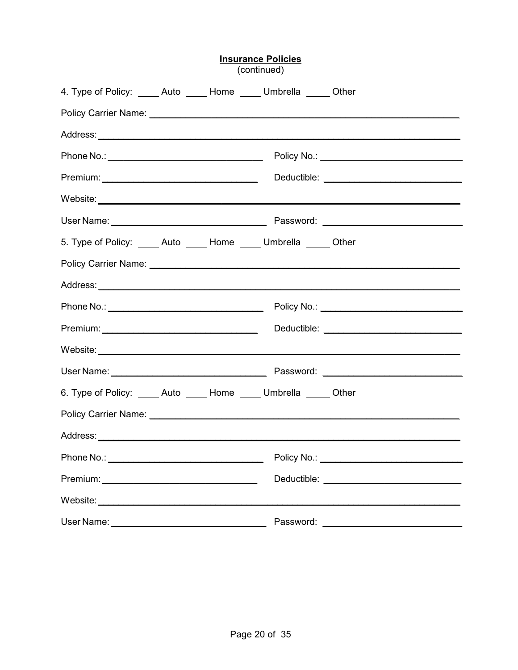|                                                                                                                                                                                                                                |  | (continued) |                                                |
|--------------------------------------------------------------------------------------------------------------------------------------------------------------------------------------------------------------------------------|--|-------------|------------------------------------------------|
| 4. Type of Policy: _____ Auto _____ Home _____ Umbrella _____ Other                                                                                                                                                            |  |             |                                                |
|                                                                                                                                                                                                                                |  |             |                                                |
|                                                                                                                                                                                                                                |  |             |                                                |
|                                                                                                                                                                                                                                |  |             | Policy No.: ______________________________     |
|                                                                                                                                                                                                                                |  |             |                                                |
|                                                                                                                                                                                                                                |  |             |                                                |
|                                                                                                                                                                                                                                |  |             |                                                |
| 5. Type of Policy: Auto Home Umbrella Other                                                                                                                                                                                    |  |             |                                                |
|                                                                                                                                                                                                                                |  |             |                                                |
|                                                                                                                                                                                                                                |  |             |                                                |
|                                                                                                                                                                                                                                |  |             | Policy No.: _____________________________      |
|                                                                                                                                                                                                                                |  |             |                                                |
|                                                                                                                                                                                                                                |  |             |                                                |
|                                                                                                                                                                                                                                |  |             |                                                |
| 6. Type of Policy: _____ Auto _____ Home _____ Umbrella _____ Other                                                                                                                                                            |  |             |                                                |
| Policy Carrier Name: 1988 Carrier Manual Communication of the Communication of the Communication of the Communication of the Communication of the Communication of the Communication of the Communication of the Communication |  |             |                                                |
|                                                                                                                                                                                                                                |  |             |                                                |
|                                                                                                                                                                                                                                |  |             |                                                |
|                                                                                                                                                                                                                                |  |             | Deductible: __________________________________ |
|                                                                                                                                                                                                                                |  |             |                                                |
|                                                                                                                                                                                                                                |  |             | Password: ________________________             |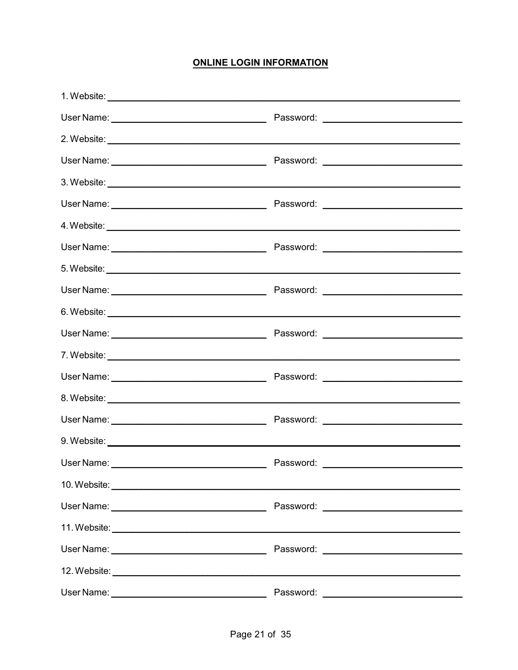#### **ONLINE LOGIN INFORMATION**

| 10. Website: <u>example and the set of the set of the set of the set of the set of the set of the set of the set of the set of the set of the set of the set of the set of the set of the set of the set of the set of the set o</u> |           |
|--------------------------------------------------------------------------------------------------------------------------------------------------------------------------------------------------------------------------------------|-----------|
|                                                                                                                                                                                                                                      |           |
|                                                                                                                                                                                                                                      |           |
|                                                                                                                                                                                                                                      |           |
|                                                                                                                                                                                                                                      |           |
| User Name:                                                                                                                                                                                                                           | Password: |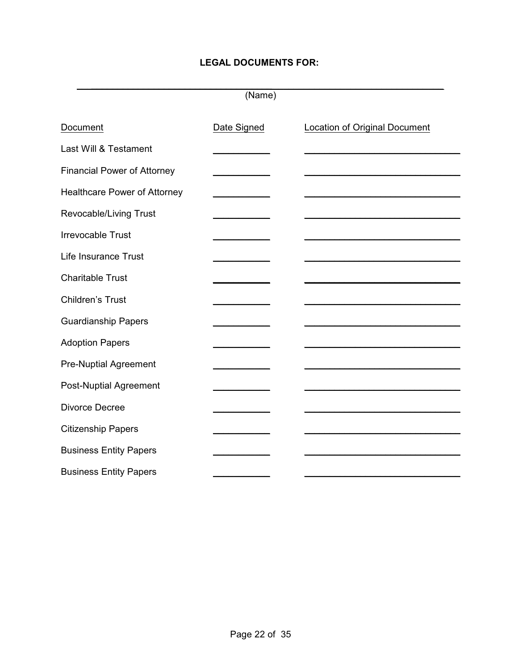#### **LEGAL DOCUMENTS FOR:**

 $\_$  ,  $\_$  ,  $\_$  ,  $\_$  ,  $\_$  ,  $\_$  ,  $\_$  ,  $\_$  ,  $\_$  ,  $\_$  ,  $\_$  ,  $\_$  ,  $\_$  ,  $\_$  ,  $\_$  ,  $\_$  ,  $\_$  ,  $\_$  ,  $\_$  ,  $\_$  ,  $\_$  ,  $\_$  ,  $\_$  ,  $\_$  ,  $\_$  ,  $\_$  ,  $\_$  ,  $\_$  ,  $\_$  ,  $\_$  ,  $\_$  ,  $\_$  ,  $\_$  ,  $\_$  ,  $\_$  ,  $\_$  ,  $\_$  , (Name)

| Document                            | Date Signed | <b>Location of Original Document</b> |
|-------------------------------------|-------------|--------------------------------------|
| Last Will & Testament               |             |                                      |
| <b>Financial Power of Attorney</b>  |             |                                      |
| <b>Healthcare Power of Attorney</b> |             |                                      |
| Revocable/Living Trust              |             |                                      |
| <b>Irrevocable Trust</b>            |             |                                      |
| Life Insurance Trust                |             |                                      |
| <b>Charitable Trust</b>             |             |                                      |
| Children's Trust                    |             |                                      |
| <b>Guardianship Papers</b>          |             |                                      |
| <b>Adoption Papers</b>              |             |                                      |
| <b>Pre-Nuptial Agreement</b>        |             |                                      |
| Post-Nuptial Agreement              |             |                                      |
| Divorce Decree                      |             |                                      |
| <b>Citizenship Papers</b>           |             |                                      |
| <b>Business Entity Papers</b>       |             |                                      |
| <b>Business Entity Papers</b>       |             |                                      |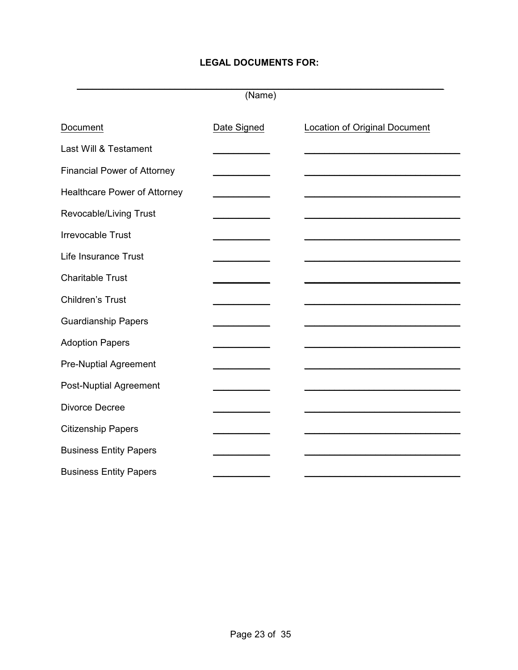#### **LEGAL DOCUMENTS FOR:**

 $\_$  , and the set of the set of the set of the set of the set of the set of the set of the set of the set of the set of the set of the set of the set of the set of the set of the set of the set of the set of the set of th (Name)

| Document                            | Date Signed | <b>Location of Original Document</b> |
|-------------------------------------|-------------|--------------------------------------|
| Last Will & Testament               |             |                                      |
| <b>Financial Power of Attorney</b>  |             |                                      |
| <b>Healthcare Power of Attorney</b> |             |                                      |
| Revocable/Living Trust              |             |                                      |
| <b>Irrevocable Trust</b>            |             |                                      |
| Life Insurance Trust                |             |                                      |
| <b>Charitable Trust</b>             |             |                                      |
| Children's Trust                    |             |                                      |
| <b>Guardianship Papers</b>          |             |                                      |
| <b>Adoption Papers</b>              |             |                                      |
| <b>Pre-Nuptial Agreement</b>        |             |                                      |
| <b>Post-Nuptial Agreement</b>       |             |                                      |
| Divorce Decree                      |             |                                      |
| <b>Citizenship Papers</b>           |             |                                      |
| <b>Business Entity Papers</b>       |             |                                      |
| <b>Business Entity Papers</b>       |             |                                      |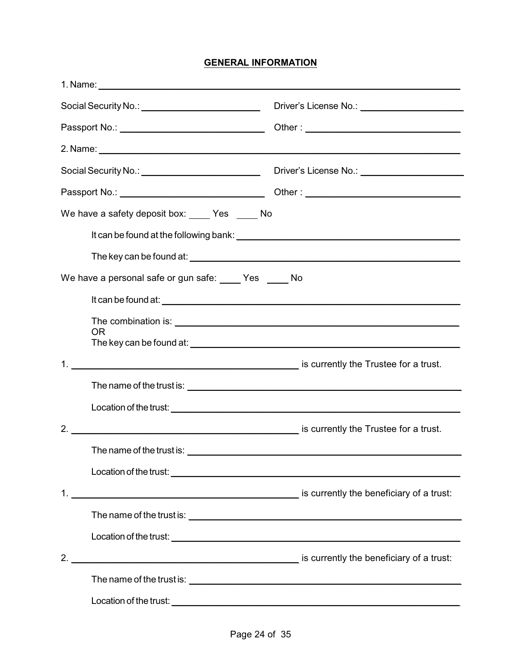#### **GENERAL INFORMATION**

| Social Security No.: \\contact \\contact \\contact \\contact \\contact \\contact \\contact \\contact \\contact \\contact \\contact \\contact \\contact \\contact \\contact \\contact \\contact \\contact \\contact \\contact \ |                                                                                                                        |
|--------------------------------------------------------------------------------------------------------------------------------------------------------------------------------------------------------------------------------|------------------------------------------------------------------------------------------------------------------------|
|                                                                                                                                                                                                                                |                                                                                                                        |
|                                                                                                                                                                                                                                |                                                                                                                        |
|                                                                                                                                                                                                                                | Driver's License No.: _________________________                                                                        |
|                                                                                                                                                                                                                                |                                                                                                                        |
| We have a safety deposit box: _____ Yes _____ No                                                                                                                                                                               |                                                                                                                        |
|                                                                                                                                                                                                                                |                                                                                                                        |
|                                                                                                                                                                                                                                |                                                                                                                        |
| We have a personal safe or gun safe: _____ Yes _____ No                                                                                                                                                                        |                                                                                                                        |
|                                                                                                                                                                                                                                |                                                                                                                        |
|                                                                                                                                                                                                                                |                                                                                                                        |
| <b>OR</b>                                                                                                                                                                                                                      |                                                                                                                        |
|                                                                                                                                                                                                                                |                                                                                                                        |
|                                                                                                                                                                                                                                |                                                                                                                        |
|                                                                                                                                                                                                                                |                                                                                                                        |
|                                                                                                                                                                                                                                |                                                                                                                        |
|                                                                                                                                                                                                                                |                                                                                                                        |
|                                                                                                                                                                                                                                |                                                                                                                        |
|                                                                                                                                                                                                                                |                                                                                                                        |
|                                                                                                                                                                                                                                |                                                                                                                        |
|                                                                                                                                                                                                                                |                                                                                                                        |
|                                                                                                                                                                                                                                |                                                                                                                        |
|                                                                                                                                                                                                                                |                                                                                                                        |
| Location of the trust:                                                                                                                                                                                                         | <u> 1989 - Johann John Harry Harry Harry Harry Harry Harry Harry Harry Harry Harry Harry Harry Harry Harry Harry H</u> |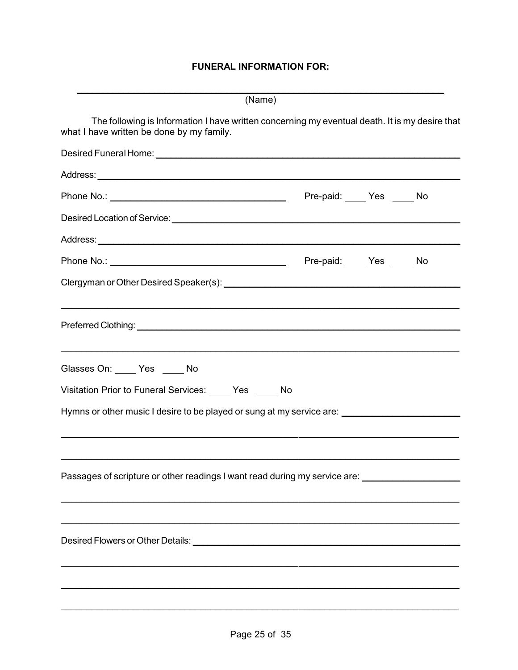#### **FUNERAL INFORMATION FOR:**

| (Name)                                                                                                                                      |                  |  |
|---------------------------------------------------------------------------------------------------------------------------------------------|------------------|--|
| The following is Information I have written concerning my eventual death. It is my desire that<br>what I have written be done by my family. |                  |  |
|                                                                                                                                             |                  |  |
|                                                                                                                                             |                  |  |
|                                                                                                                                             | Pre-paid: Yes No |  |
|                                                                                                                                             |                  |  |
|                                                                                                                                             |                  |  |
|                                                                                                                                             | Pre-paid: Yes No |  |
|                                                                                                                                             |                  |  |
|                                                                                                                                             |                  |  |
| Glasses On: Yes No                                                                                                                          |                  |  |
| Visitation Prior to Funeral Services: Ves ____ No                                                                                           |                  |  |
| Hymns or other music I desire to be played or sung at my service are:                                                                       |                  |  |
| <u> 1989 - Johann John Stone, market ar yn it ferfinning yn it ferfinning yn it ferfinning yn it ferfinning yn it</u>                       |                  |  |
|                                                                                                                                             |                  |  |
| Passages of scripture or other readings I want read during my service are: ________________________                                         |                  |  |
|                                                                                                                                             |                  |  |
|                                                                                                                                             |                  |  |
|                                                                                                                                             |                  |  |
|                                                                                                                                             |                  |  |
|                                                                                                                                             |                  |  |
|                                                                                                                                             |                  |  |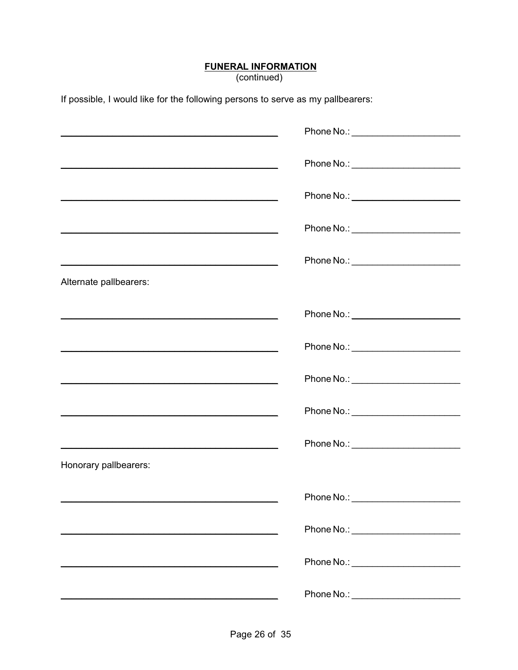# **FUNERAL INFORMATION**<br>(continued)

If possible, I would like for the following persons to serve as my pallbearers:

| <u> 1989 - Johann Stoff, amerikansk politiker (d. 1989)</u>                                                                                                                                                                   | Phone No.: ________________________   |
|-------------------------------------------------------------------------------------------------------------------------------------------------------------------------------------------------------------------------------|---------------------------------------|
|                                                                                                                                                                                                                               | Phone No.: _________________________  |
| <u> 1989 - Johann John Stone, mars and deutscher Stone (1989)</u>                                                                                                                                                             | Phone No.: ________________________   |
|                                                                                                                                                                                                                               | Phone No.: _________________________  |
| Alternate pallbearers:                                                                                                                                                                                                        |                                       |
|                                                                                                                                                                                                                               |                                       |
| <u> 1989 - Johann John Stoff, deutscher Stoffen und der Stoffen und der Stoffen und der Stoffen und der Stoffen un</u>                                                                                                        | Phone No.: _________________________  |
| the control of the control of the control of the control of the control of the control of the control of the control of the control of the control of the control of the control of the control of the control of the control |                                       |
|                                                                                                                                                                                                                               | Phone No.: _________________________  |
|                                                                                                                                                                                                                               | Phone No.: __________________________ |
| Honorary pallbearers:                                                                                                                                                                                                         |                                       |
|                                                                                                                                                                                                                               | Phone No.:                            |
|                                                                                                                                                                                                                               | Phone No.: _______________________    |
|                                                                                                                                                                                                                               | Phone No.: ________________________   |
|                                                                                                                                                                                                                               | Phone No.: _______________________    |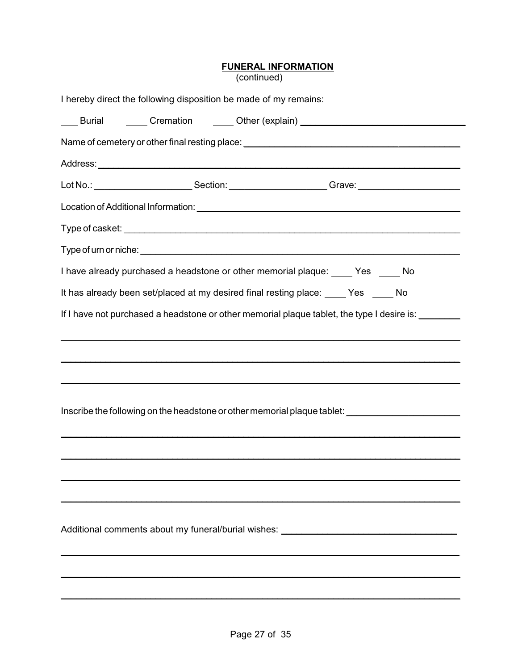# **FUNERAL INFORMATION**<br>(continued)

|  | I hereby direct the following disposition be made of my remains:                   |                                                                                                     |
|--|------------------------------------------------------------------------------------|-----------------------------------------------------------------------------------------------------|
|  |                                                                                    | ___ Burial   _____ Cremation   ____ Other (explain) ____________________________                    |
|  |                                                                                    | Name of cemetery or other final resting place: _________________________________                    |
|  |                                                                                    |                                                                                                     |
|  |                                                                                    |                                                                                                     |
|  |                                                                                    |                                                                                                     |
|  |                                                                                    |                                                                                                     |
|  |                                                                                    |                                                                                                     |
|  |                                                                                    | I have already purchased a headstone or other memorial plaque: _____ Yes _____ No                   |
|  | It has already been set/placed at my desired final resting place: ____ Yes ____ No |                                                                                                     |
|  |                                                                                    | If I have not purchased a headstone or other memorial plaque tablet, the type I desire is: ________ |
|  |                                                                                    |                                                                                                     |
|  |                                                                                    |                                                                                                     |
|  |                                                                                    |                                                                                                     |
|  |                                                                                    |                                                                                                     |
|  |                                                                                    | Inscribe the following on the headstone or other memorial plaque tablet: __________________________ |
|  |                                                                                    |                                                                                                     |
|  |                                                                                    |                                                                                                     |
|  |                                                                                    |                                                                                                     |
|  |                                                                                    |                                                                                                     |
|  |                                                                                    | Additional comments about my funeral/burial wishes: ____________________________                    |
|  |                                                                                    |                                                                                                     |
|  |                                                                                    |                                                                                                     |
|  |                                                                                    |                                                                                                     |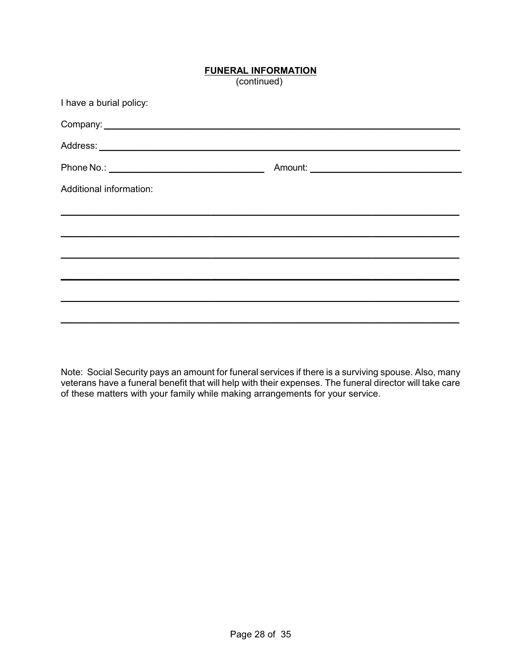#### **FUNERAL INFORMATION**

(continued)

| I have a burial policy: |  |
|-------------------------|--|
|                         |  |
|                         |  |
|                         |  |
| Additional information: |  |
|                         |  |
|                         |  |
|                         |  |
|                         |  |
|                         |  |
|                         |  |
|                         |  |

Note: Social Security pays an amount for funeral services if there is a surviving spouse. Also, many veterans have a funeral benefit that will help with their expenses. The funeral director will take care of these matters with your family while making arrangements for your service.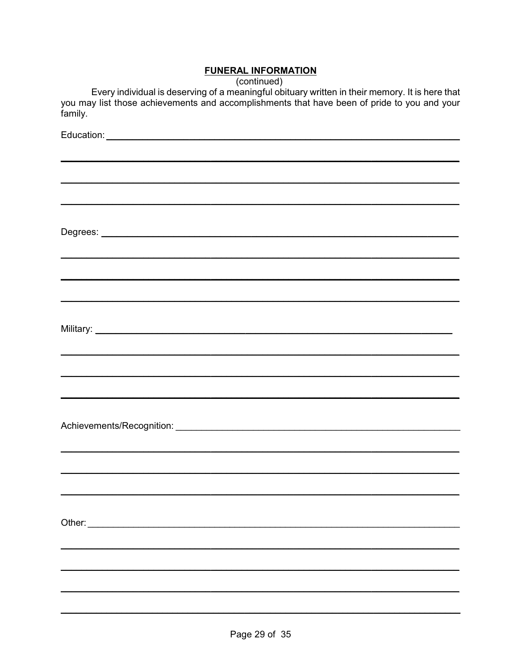#### **FUNERAL INFORMATION**

(continued)

Every individual is deserving of a meaningful obituary written in their memory. It is here that you may list those achievements and accomplishments that have been of pride to you and your family.

| ,我们也不能在这里的时候,我们也不能在这里的时候,我们也不能在这里的时候,我们也不能会在这里的时候,我们也不能会在这里的时候,我们也不能会在这里的时候,我们也不                                    |
|---------------------------------------------------------------------------------------------------------------------|
|                                                                                                                     |
|                                                                                                                     |
| <u> 1989 - John Harry Harry Harry Harry Harry Harry Harry Harry Harry Harry Harry Harry Harry Harry Harry Harry</u> |
|                                                                                                                     |
|                                                                                                                     |
|                                                                                                                     |
|                                                                                                                     |
|                                                                                                                     |
|                                                                                                                     |
|                                                                                                                     |
|                                                                                                                     |
|                                                                                                                     |
|                                                                                                                     |
|                                                                                                                     |
|                                                                                                                     |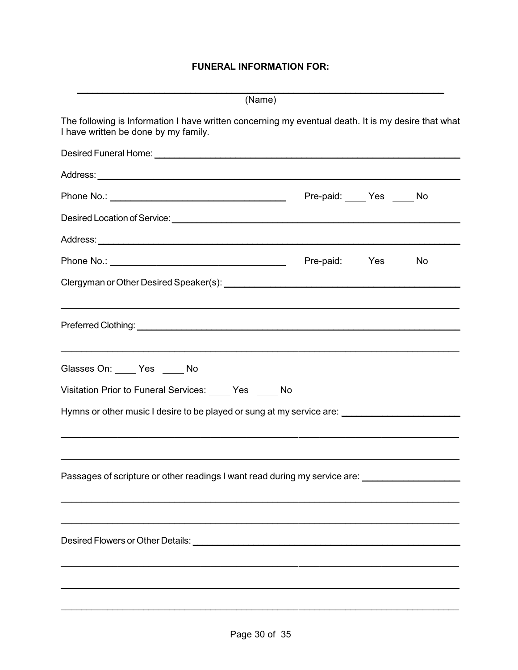#### **FUNERAL INFORMATION FOR:**

| (Name)                                                                                                                                                                                                                         |                  |  |
|--------------------------------------------------------------------------------------------------------------------------------------------------------------------------------------------------------------------------------|------------------|--|
| The following is Information I have written concerning my eventual death. It is my desire that what<br>I have written be done by my family.                                                                                    |                  |  |
|                                                                                                                                                                                                                                |                  |  |
|                                                                                                                                                                                                                                |                  |  |
|                                                                                                                                                                                                                                | Pre-paid: Yes No |  |
|                                                                                                                                                                                                                                |                  |  |
|                                                                                                                                                                                                                                |                  |  |
|                                                                                                                                                                                                                                |                  |  |
|                                                                                                                                                                                                                                |                  |  |
| Preferred Clothing: University of the Contract of the Contract of the Contract of the Contract of the Contract of the Contract of the Contract of the Contract of the Contract of the Contract of the Contract of the Contract |                  |  |
| Glasses On: _____ Yes _____ No                                                                                                                                                                                                 |                  |  |
| Visitation Prior to Funeral Services: Ves ____ No                                                                                                                                                                              |                  |  |
| Hymns or other music I desire to be played or sung at my service are: _____________________________                                                                                                                            |                  |  |
|                                                                                                                                                                                                                                |                  |  |
| Passages of scripture or other readings I want read during my service are: ________________________                                                                                                                            |                  |  |
|                                                                                                                                                                                                                                |                  |  |
|                                                                                                                                                                                                                                |                  |  |
| <u> 1989 - Johann Stoff, deutscher Stoffen und der Stoffen und der Stoffen und der Stoffen und der Stoffen und de</u><br><u> 1989 - Jan James Alexander (f. 1989)</u>                                                          |                  |  |
|                                                                                                                                                                                                                                |                  |  |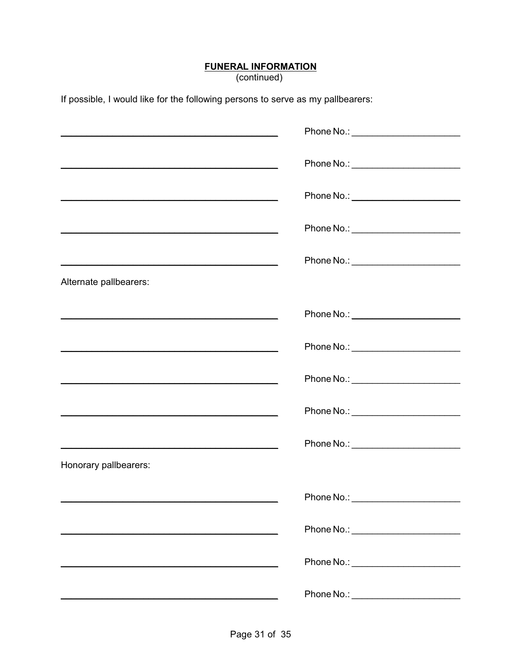# **FUNERAL INFORMATION**<br>(continued)

If possible, I would like for the following persons to serve as my pallbearers:

|                                                                     | Phone No.: _________________________  |
|---------------------------------------------------------------------|---------------------------------------|
|                                                                     | Phone No.: ________________________   |
| <u> 1989 - Johann John Stone, market fransk politiker (d. 1989)</u> |                                       |
| <u> 1980 - Johann Barbara, martxa eta politikaria (h. 1908).</u>    | Phone No.: _________________________  |
|                                                                     | Phone No.: ________________________   |
| Alternate pallbearers:                                              |                                       |
|                                                                     |                                       |
| <u> 1989 - Johann Barbara, martxa alemaniar amerikan basar da a</u> |                                       |
|                                                                     | Phone No.: __________________________ |
|                                                                     |                                       |
| <u> 1989 - Johann Stoff, amerikansk politiker (d. 1989)</u>         | Phone No.: _______________________    |
| Honorary pallbearers:                                               |                                       |
|                                                                     | Phone No.:                            |
|                                                                     | Phone No.: _________________________  |
|                                                                     | Phone No.: ________________________   |
|                                                                     | Phone No.: ________________________   |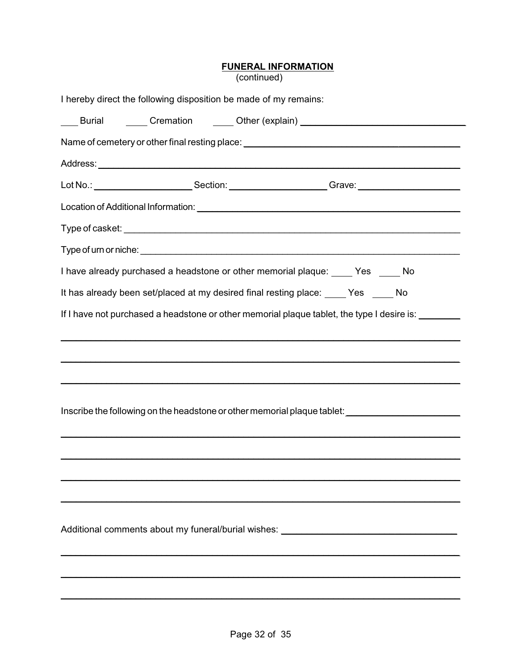# **FUNERAL INFORMATION**<br>(continued)

|  | I hereby direct the following disposition be made of my remains:                   |                                                                                                     |
|--|------------------------------------------------------------------------------------|-----------------------------------------------------------------------------------------------------|
|  |                                                                                    | ___ Burial   _____ Cremation   ____ Other (explain) ____________________________                    |
|  |                                                                                    | Name of cemetery or other final resting place: _________________________________                    |
|  |                                                                                    |                                                                                                     |
|  |                                                                                    |                                                                                                     |
|  |                                                                                    |                                                                                                     |
|  |                                                                                    |                                                                                                     |
|  |                                                                                    |                                                                                                     |
|  |                                                                                    | I have already purchased a headstone or other memorial plaque: _____ Yes _____ No                   |
|  | It has already been set/placed at my desired final resting place: ____ Yes ____ No |                                                                                                     |
|  |                                                                                    | If I have not purchased a headstone or other memorial plaque tablet, the type I desire is: ________ |
|  |                                                                                    |                                                                                                     |
|  |                                                                                    |                                                                                                     |
|  |                                                                                    |                                                                                                     |
|  |                                                                                    |                                                                                                     |
|  |                                                                                    | Inscribe the following on the headstone or other memorial plaque tablet: __________________________ |
|  |                                                                                    |                                                                                                     |
|  |                                                                                    |                                                                                                     |
|  |                                                                                    |                                                                                                     |
|  |                                                                                    |                                                                                                     |
|  |                                                                                    | Additional comments about my funeral/burial wishes: ____________________________                    |
|  |                                                                                    |                                                                                                     |
|  |                                                                                    |                                                                                                     |
|  |                                                                                    |                                                                                                     |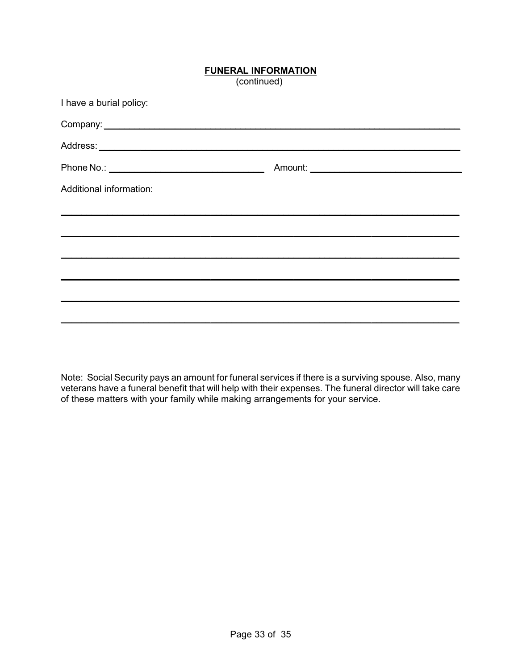#### **FUNERAL INFORMATION**

(continued)

| I have a burial policy: |  |
|-------------------------|--|
|                         |  |
|                         |  |
|                         |  |
| Additional information: |  |
|                         |  |
|                         |  |
|                         |  |
|                         |  |
|                         |  |
|                         |  |
|                         |  |

Note: Social Security pays an amount for funeral services if there is a surviving spouse. Also, many veterans have a funeral benefit that will help with their expenses. The funeral director will take care of these matters with your family while making arrangements for your service.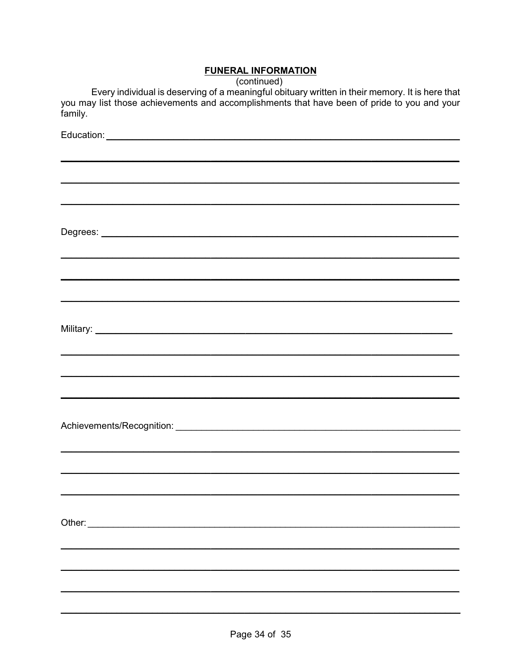#### **FUNERAL INFORMATION**

(continued)

Every individual is deserving of a meaningful obituary written in their memory. It is here that you may list those achievements and accomplishments that have been of pride to you and your family.

| ,我们也不能在这里的人,我们也不能在这里的人,我们也不能在这里的人,我们也不能在这里的人,我们也不能在这里的人,我们也不能在这里的人,我们也不能在这里的人,我们也                                                                                                                                              |
|--------------------------------------------------------------------------------------------------------------------------------------------------------------------------------------------------------------------------------|
|                                                                                                                                                                                                                                |
|                                                                                                                                                                                                                                |
| <u> 1989 - John Harry Harry Harry Harry Harry Harry Harry Harry Harry Harry Harry Harry Harry Harry Harry Harry</u>                                                                                                            |
|                                                                                                                                                                                                                                |
|                                                                                                                                                                                                                                |
|                                                                                                                                                                                                                                |
|                                                                                                                                                                                                                                |
|                                                                                                                                                                                                                                |
|                                                                                                                                                                                                                                |
|                                                                                                                                                                                                                                |
| Other: and the contract of the contract of the contract of the contract of the contract of the contract of the contract of the contract of the contract of the contract of the contract of the contract of the contract of the |
|                                                                                                                                                                                                                                |
|                                                                                                                                                                                                                                |
|                                                                                                                                                                                                                                |
|                                                                                                                                                                                                                                |
|                                                                                                                                                                                                                                |